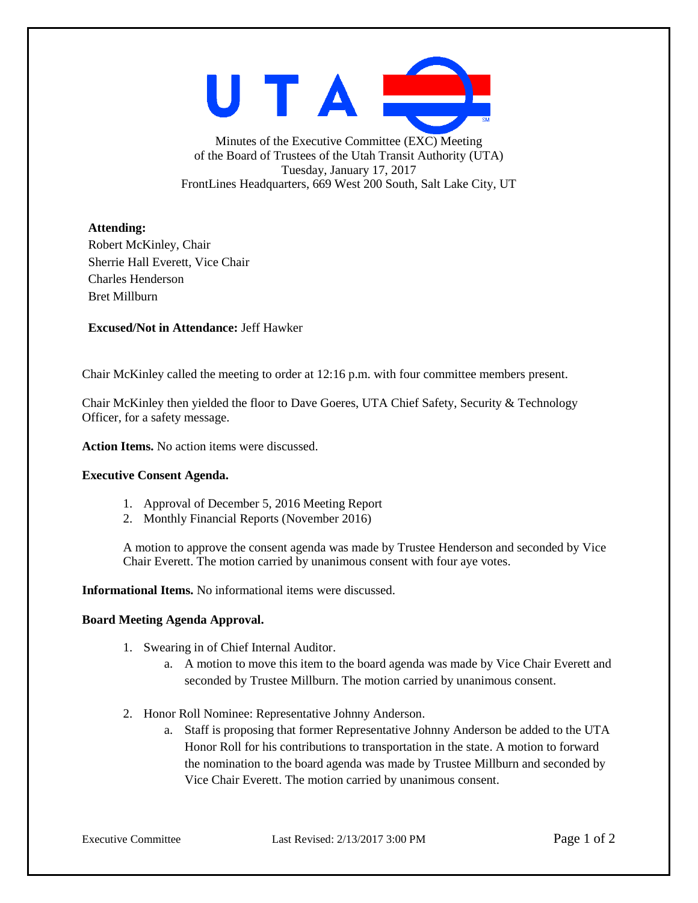UTAI

Minutes of the Executive Committee (EXC) Meeting of the Board of Trustees of the Utah Transit Authority (UTA) Tuesday, January 17, 2017 FrontLines Headquarters, 669 West 200 South, Salt Lake City, UT

## **Attending:**

Robert McKinley, Chair Sherrie Hall Everett, Vice Chair Charles Henderson Bret Millburn

**Excused/Not in Attendance:** Jeff Hawker

Chair McKinley called the meeting to order at 12:16 p.m. with four committee members present.

Chair McKinley then yielded the floor to Dave Goeres, UTA Chief Safety, Security & Technology Officer, for a safety message.

**Action Items.** No action items were discussed.

## **Executive Consent Agenda.**

- 1. Approval of December 5, 2016 Meeting Report
- 2. Monthly Financial Reports (November 2016)

A motion to approve the consent agenda was made by Trustee Henderson and seconded by Vice Chair Everett. The motion carried by unanimous consent with four aye votes.

**Informational Items.** No informational items were discussed.

## **Board Meeting Agenda Approval.**

- 1. Swearing in of Chief Internal Auditor.
	- a. A motion to move this item to the board agenda was made by Vice Chair Everett and seconded by Trustee Millburn. The motion carried by unanimous consent.
- 2. Honor Roll Nominee: Representative Johnny Anderson.
	- a. Staff is proposing that former Representative Johnny Anderson be added to the UTA Honor Roll for his contributions to transportation in the state. A motion to forward the nomination to the board agenda was made by Trustee Millburn and seconded by Vice Chair Everett. The motion carried by unanimous consent.